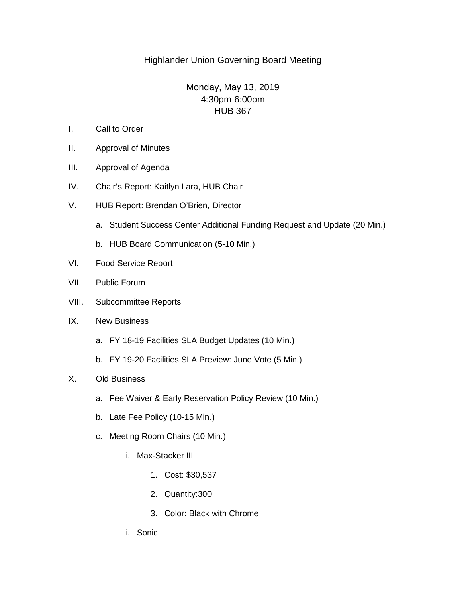## Highlander Union Governing Board Meeting

# Monday, May 13, 2019 4:30pm-6:00pm HUB 367

- I. Call to Order
- II. Approval of Minutes
- III. Approval of Agenda
- IV. Chair's Report: Kaitlyn Lara, HUB Chair
- V. HUB Report: Brendan O'Brien, Director
	- a. Student Success Center Additional Funding Request and Update (20 Min.)
	- b. HUB Board Communication (5-10 Min.)
- VI. Food Service Report
- VII. Public Forum
- VIII. Subcommittee Reports
- IX. New Business
	- a. FY 18-19 Facilities SLA Budget Updates (10 Min.)
	- b. FY 19-20 Facilities SLA Preview: June Vote (5 Min.)

#### X. Old Business

- a. Fee Waiver & Early Reservation Policy Review (10 Min.)
- b. Late Fee Policy (10-15 Min.)
- c. Meeting Room Chairs (10 Min.)
	- i. Max-Stacker III
		- 1. Cost: \$30,537
		- 2. Quantity:300
		- 3. Color: Black with Chrome
	- ii. Sonic